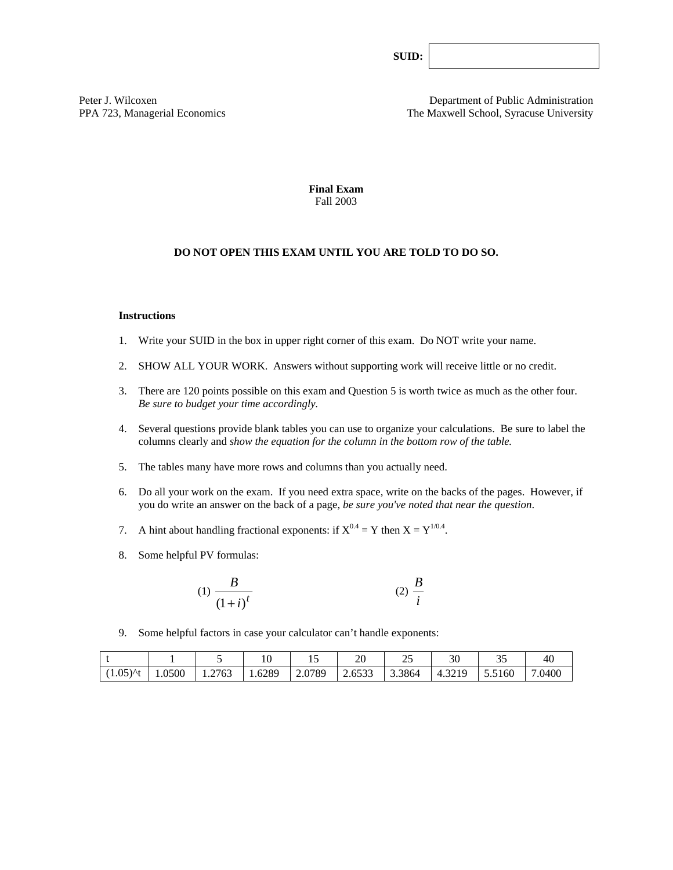**SUID:** 

Peter J. Wilcoxen **Department of Public Administration** PPA 723, Managerial Economics The Maxwell School, Syracuse University

> **Final Exam**  Fall 2003

### **DO NOT OPEN THIS EXAM UNTIL YOU ARE TOLD TO DO SO.**

#### **Instructions**

- 1. Write your SUID in the box in upper right corner of this exam. Do NOT write your name.
- 2. SHOW ALL YOUR WORK. Answers without supporting work will receive little or no credit.
- 3. There are 120 points possible on this exam and Question 5 is worth twice as much as the other four. *Be sure to budget your time accordingly.*
- 4. Several questions provide blank tables you can use to organize your calculations. Be sure to label the columns clearly and *show the equation for the column in the bottom row of the table.*
- 5. The tables many have more rows and columns than you actually need.
- 6. Do all your work on the exam. If you need extra space, write on the backs of the pages. However, if you do write an answer on the back of a page, *be sure you've noted that near the question*.
- 7. A hint about handling fractional exponents: if  $X^{0.4} = Y$  then  $X = Y^{1/0.4}$ .
- 8. Some helpful PV formulas:

$$
(1) \frac{B}{\left(1+i\right)^t} \tag{2} \frac{B}{i}
$$

9. Some helpful factors in case your calculator can't handle exponents:

|                       |        |        | $\cdot$ $\sim$<br>ΙV | ⊥ັ                   | ററ<br>ZU                                 | $\sim$<br><u>_</u> | 30                           | つよ<br>ັ | 40     |
|-----------------------|--------|--------|----------------------|----------------------|------------------------------------------|--------------------|------------------------------|---------|--------|
| $05\lambda t$<br>1.0J | 1.0500 | 1.2763 | 1.6289               | .0789<br>$\angle$ .V | $\sim$ $\sim$ $\sim$<br>$\sim$<br>2.0333 | 3.3864             | 3219<br>$\Delta$<br>+ . フムエフ | 5.5160  | 7.0400 |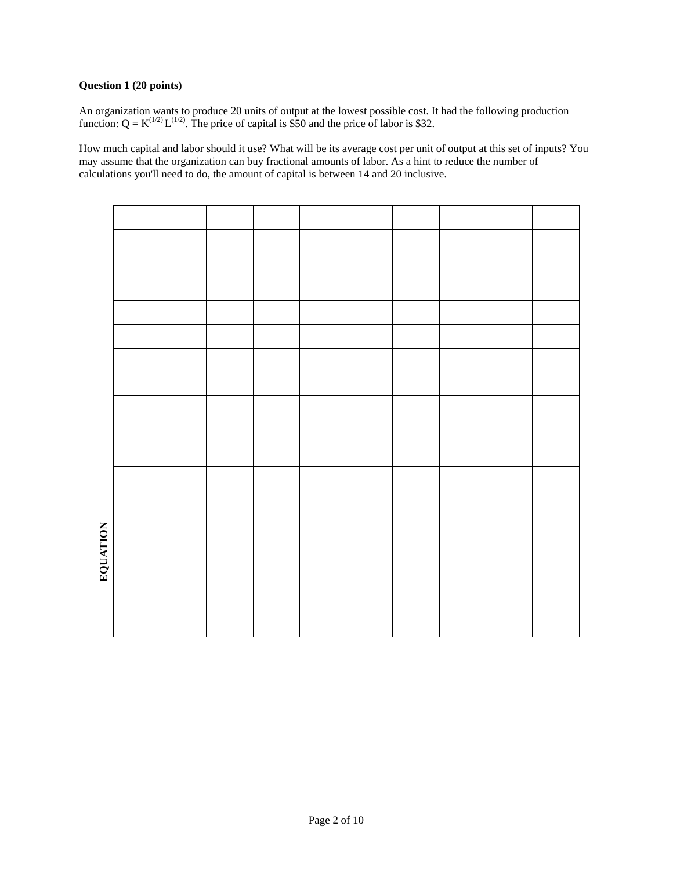## **Question 1 (20 points)**

An organization wants to produce 20 units of output at the lowest possible cost. It had the following production function:  $Q = K^{(1/2)} L^{(1/2)}$ . The price of capital is \$50 and the price of labor is \$32.

How much capital and labor should it use? What will be its average cost per unit of output at this set of inputs? You may assume that the organization can buy fractional amounts of labor. As a hint to reduce the number of calculations you'll need to do, the amount of capital is between 14 and 20 inclusive.

| EQUATION |  |  |  |  |  |
|----------|--|--|--|--|--|
|          |  |  |  |  |  |
|          |  |  |  |  |  |
|          |  |  |  |  |  |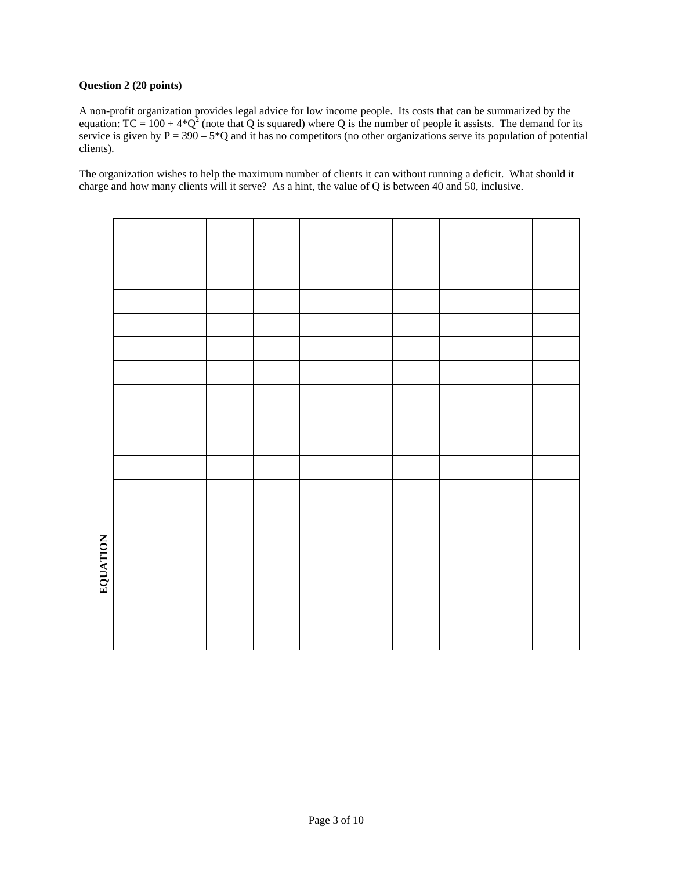# **Question 2 (20 points)**

A non-profit organization provides legal advice for low income people. Its costs that can be summarized by the equation: TC =  $100 + 4*Q^2$  (note that Q is squared) where Q is the number of people it assists. The demand for its service is given by  $P = 390 - 5*Q$  and it has no competitors (no other organizations serve its population of potential clients).

The organization wishes to help the maximum number of clients it can without running a deficit. What should it charge and how many clients will it serve? As a hint, the value of Q is between 40 and 50, inclusive.

| EQUATION |  |  |  |  |  |
|----------|--|--|--|--|--|
|          |  |  |  |  |  |
|          |  |  |  |  |  |
|          |  |  |  |  |  |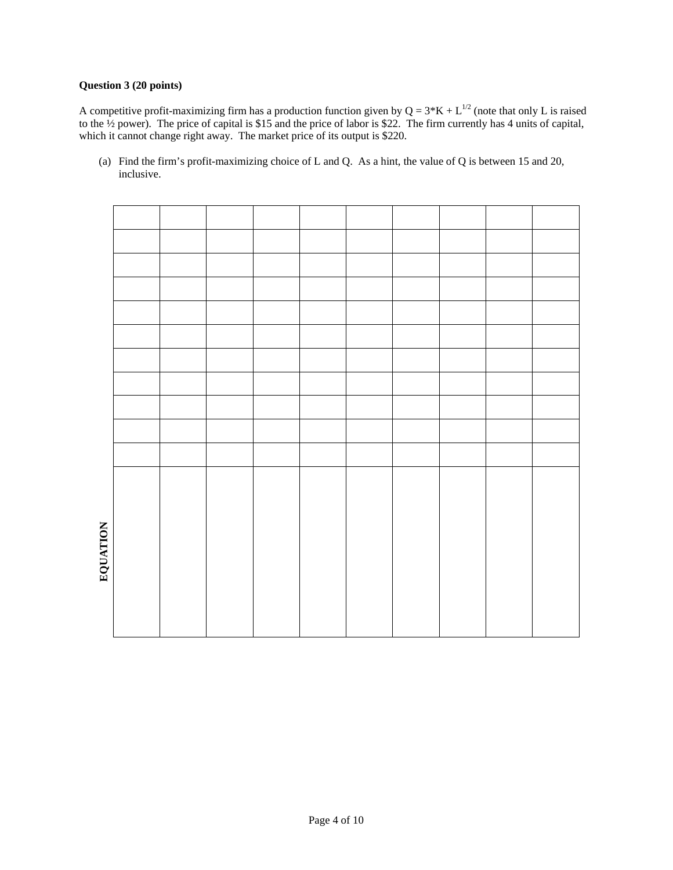# **Question 3 (20 points)**

A competitive profit-maximizing firm has a production function given by  $Q = 3*K + L^{1/2}$  (note that only L is raised to the ½ power). The price of capital is \$15 and the price of labor is \$22. The firm currently has 4 units of capital, which it cannot change right away. The market price of its output is \$220.

(a) Find the firm's profit-maximizing choice of L and Q. As a hint, the value of Q is between 15 and 20, inclusive.

| EQUATION |  |  |  |  |  |
|----------|--|--|--|--|--|
|          |  |  |  |  |  |
|          |  |  |  |  |  |
|          |  |  |  |  |  |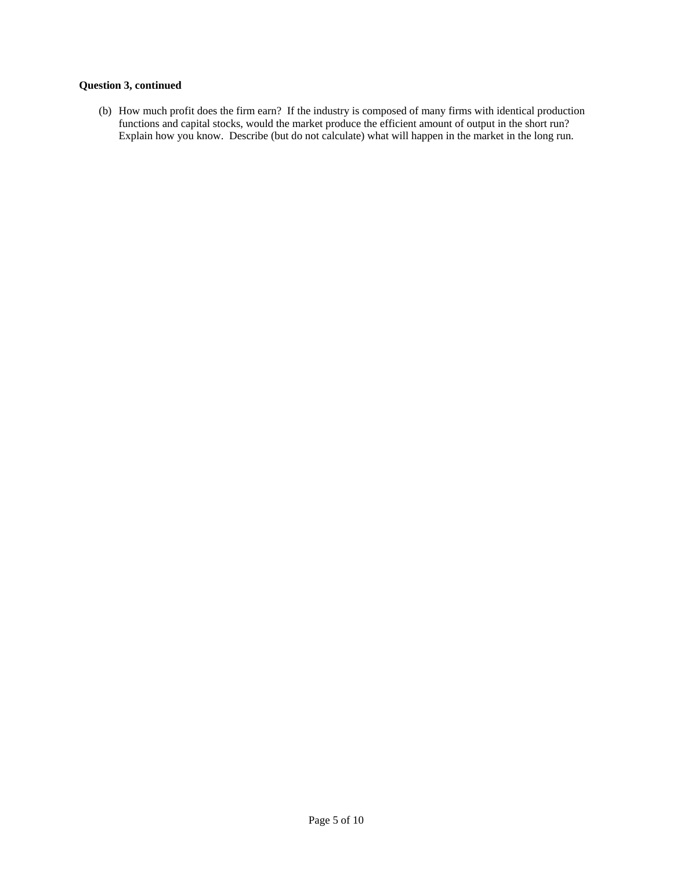# **Question 3, continued**

(b) How much profit does the firm earn? If the industry is composed of many firms with identical production functions and capital stocks, would the market produce the efficient amount of output in the short run? Explain how you know. Describe (but do not calculate) what will happen in the market in the long run.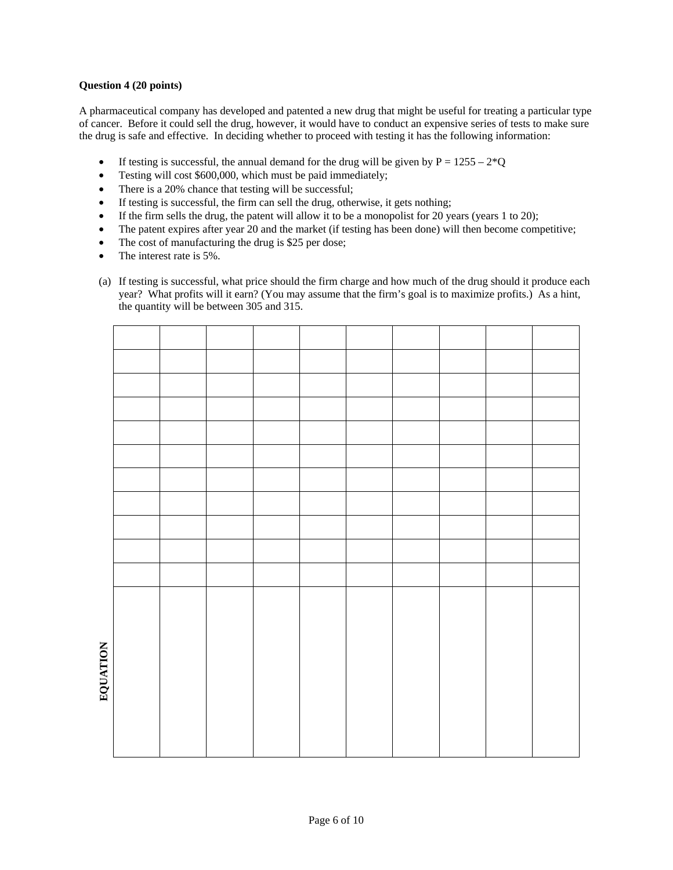## **Question 4 (20 points)**

A pharmaceutical company has developed and patented a new drug that might be useful for treating a particular type of cancer. Before it could sell the drug, however, it would have to conduct an expensive series of tests to make sure the drug is safe and effective. In deciding whether to proceed with testing it has the following information:

- If testing is successful, the annual demand for the drug will be given by  $P = 1255 2*Q$
- Testing will cost \$600,000, which must be paid immediately;
- There is a 20% chance that testing will be successful;
- If testing is successful, the firm can sell the drug, otherwise, it gets nothing;
- If the firm sells the drug, the patent will allow it to be a monopolist for 20 years (years 1 to 20);
- The patent expires after year 20 and the market (if testing has been done) will then become competitive;
- The cost of manufacturing the drug is \$25 per dose;
- The interest rate is 5%.
- (a) If testing is successful, what price should the firm charge and how much of the drug should it produce each year? What profits will it earn? (You may assume that the firm's goal is to maximize profits.) As a hint, the quantity will be between 305 and 315.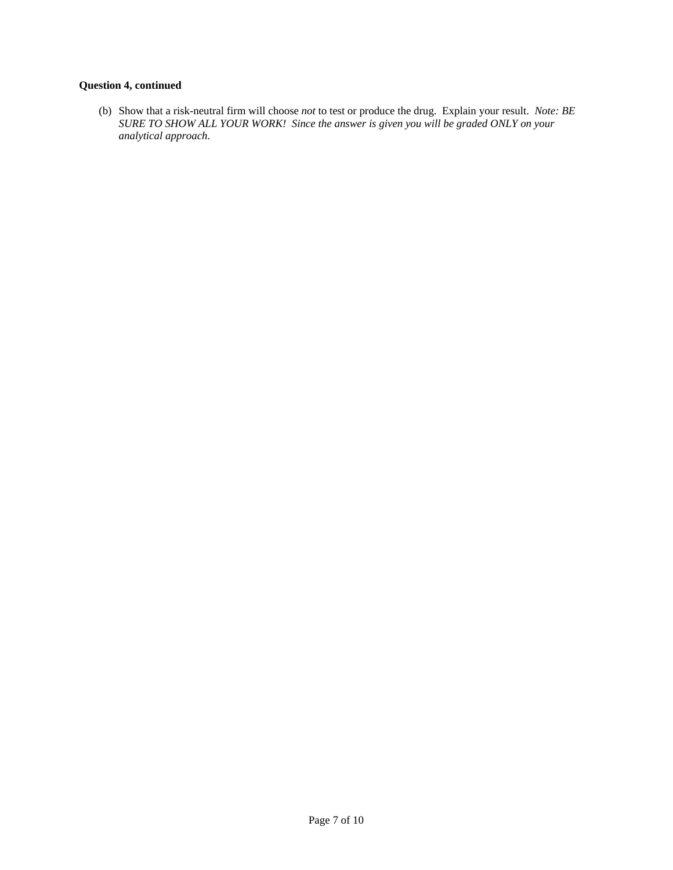# **Question 4, continued**

(b) Show that a risk-neutral firm will choose *not* to test or produce the drug. Explain your result. *Note: BE SURE TO SHOW ALL YOUR WORK! Since the answer is given you will be graded ONLY on your analytical approach.*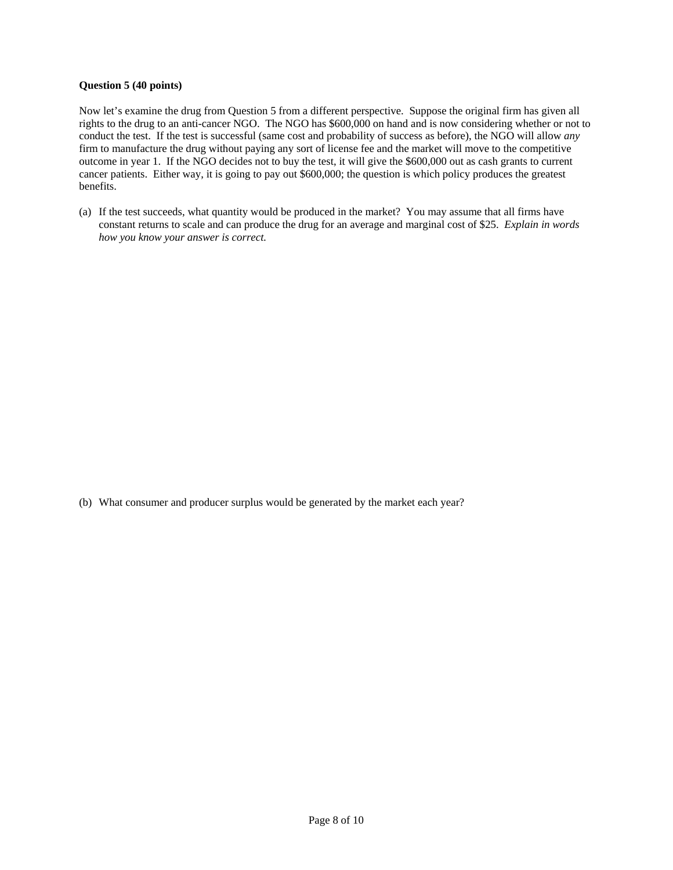#### **Question 5 (40 points)**

Now let's examine the drug from Question 5 from a different perspective. Suppose the original firm has given all rights to the drug to an anti-cancer NGO. The NGO has \$600,000 on hand and is now considering whether or not to conduct the test. If the test is successful (same cost and probability of success as before), the NGO will allow *any* firm to manufacture the drug without paying any sort of license fee and the market will move to the competitive outcome in year 1. If the NGO decides not to buy the test, it will give the \$600,000 out as cash grants to current cancer patients. Either way, it is going to pay out \$600,000; the question is which policy produces the greatest benefits.

(a) If the test succeeds, what quantity would be produced in the market? You may assume that all firms have constant returns to scale and can produce the drug for an average and marginal cost of \$25. *Explain in words how you know your answer is correct.*

(b) What consumer and producer surplus would be generated by the market each year?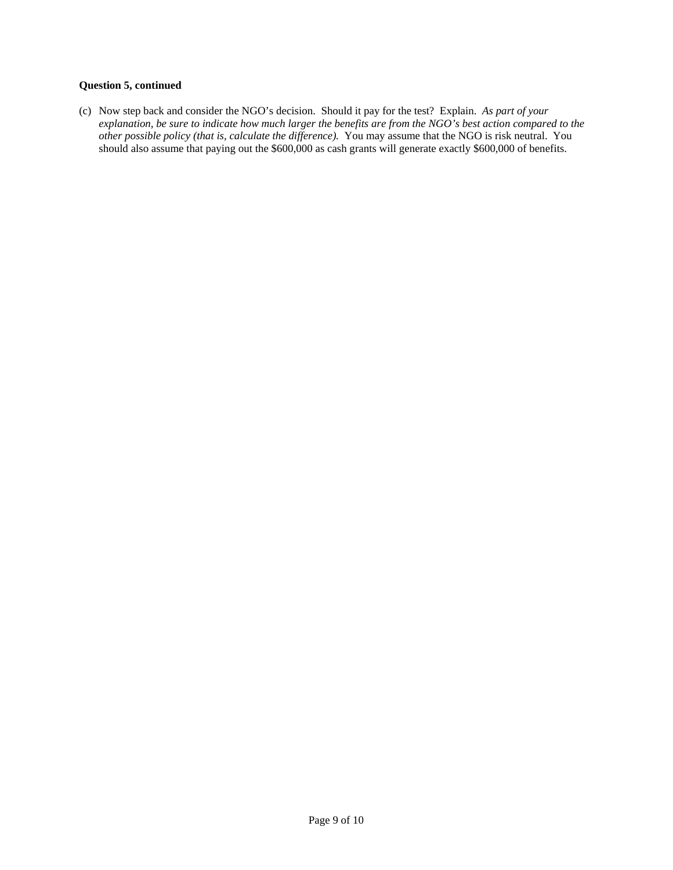#### **Question 5, continued**

(c) Now step back and consider the NGO's decision. Should it pay for the test? Explain. *As part of your explanation, be sure to indicate how much larger the benefits are from the NGO's best action compared to the other possible policy (that is, calculate the difference).* You may assume that the NGO is risk neutral. You should also assume that paying out the \$600,000 as cash grants will generate exactly \$600,000 of benefits.